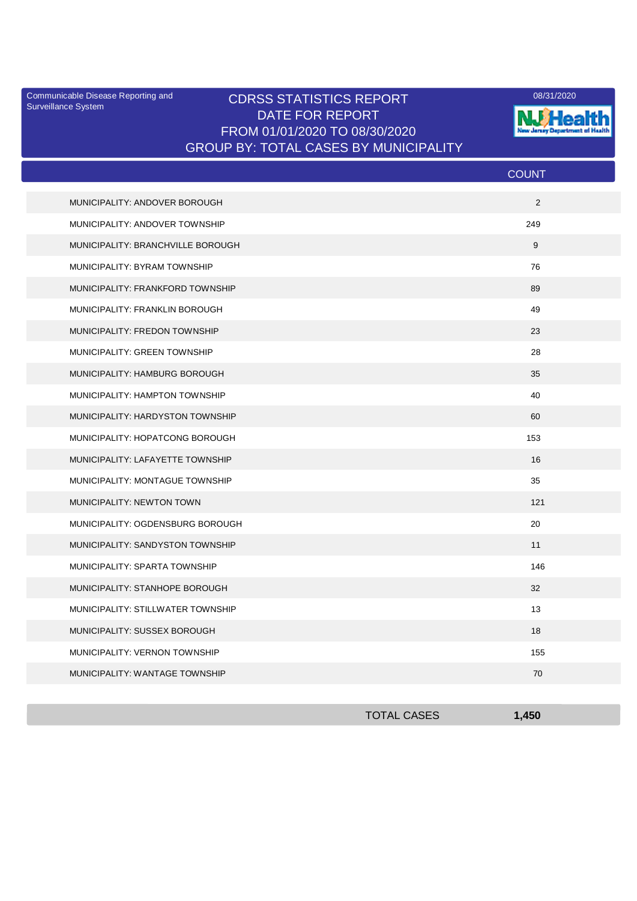Surveillance System

## Communicable Disease Reporting and CDRSS STATISTICS REPORT 2008/31/2020 DATE FOR REPORT FROM 01/01/2020 TO 08/30/2020 GROUP BY: TOTAL CASES BY MUNICIPALITY



|                                   | <b>COUNT</b> |
|-----------------------------------|--------------|
| MUNICIPALITY: ANDOVER BOROUGH     | 2            |
| MUNICIPALITY: ANDOVER TOWNSHIP    | 249          |
| MUNICIPALITY: BRANCHVILLE BOROUGH | 9            |
| MUNICIPALITY: BYRAM TOWNSHIP      | 76           |
| MUNICIPALITY: FRANKFORD TOWNSHIP  | 89           |
| MUNICIPALITY: FRANKLIN BOROUGH    | 49           |
| MUNICIPALITY: FREDON TOWNSHIP     | 23           |
| MUNICIPALITY: GREEN TOWNSHIP      | 28           |
| MUNICIPALITY: HAMBURG BOROUGH     | 35           |
| MUNICIPALITY: HAMPTON TOWNSHIP    | 40           |
| MUNICIPALITY: HARDYSTON TOWNSHIP  | 60           |
| MUNICIPALITY: HOPATCONG BOROUGH   | 153          |
| MUNICIPALITY: LAFAYETTE TOWNSHIP  | 16           |
| MUNICIPALITY: MONTAGUE TOWNSHIP   | 35           |
| <b>MUNICIPALITY: NEWTON TOWN</b>  | 121          |
| MUNICIPALITY: OGDENSBURG BOROUGH  | 20           |
| MUNICIPALITY: SANDYSTON TOWNSHIP  | 11           |
| MUNICIPALITY: SPARTA TOWNSHIP     | 146          |
| MUNICIPALITY: STANHOPE BOROUGH    | 32           |
| MUNICIPALITY: STILLWATER TOWNSHIP | 13           |
| MUNICIPALITY: SUSSEX BOROUGH      | 18           |
| MUNICIPALITY: VERNON TOWNSHIP     | 155          |
| MUNICIPALITY: WANTAGE TOWNSHIP    | 70           |

| <b>TOTAL CASES</b> | 1,450 |
|--------------------|-------|
|                    |       |